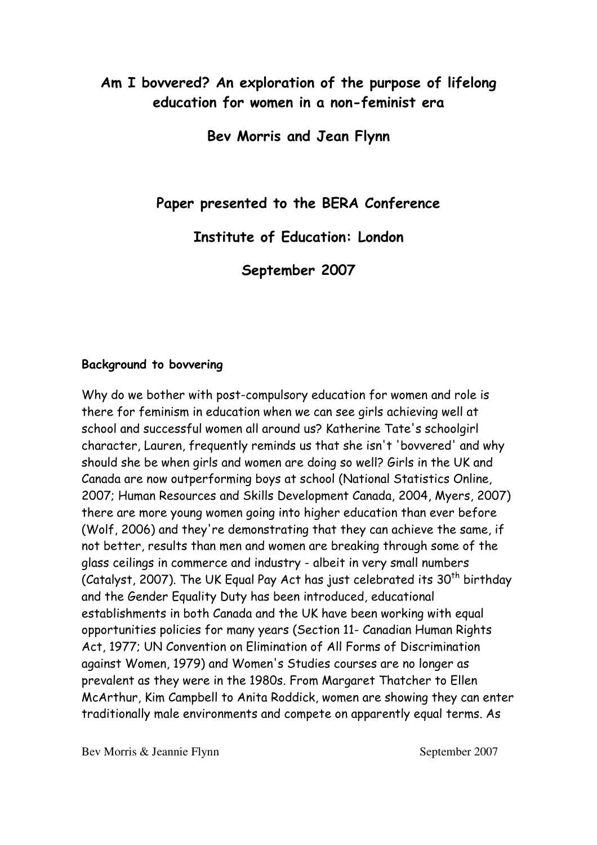# Am I bovvered? An exploration of the purpose of lifelong education for women in a non-feminist era

Bev Morris and Jean Flynn

Paper presented to the BERA Conference

Institute of Education: London

September 2007

### Background to bovvering

Why do we bother with post-compulsory education for women and role is there for feminism in education when we can see girls achieving well at school and successful women all around us? Katherine Tate's schoolgirl character, Lauren, frequently reminds us that she isn't 'bovvered' and why should she be when girls and women are doing so well? Girls in the UK and Canada are now outperforming boys at school (National Statistics Online, 2007; Human Resources and Skills Development Canada, 2004, Myers, 2007) there are more young women going into higher education than ever before (Wolf, 2006) and they're demonstrating that they can achieve the same, if not better, results than men and women are breaking through some of the glass ceilings in commerce and industry - albeit in very small numbers (Catalyst, 2007). The UK Equal Pay Act has just celebrated its  $30<sup>th</sup>$  birthday and the Gender Equality Duty has been introduced, educational establishments in both Canada and the UK have been working with equal opportunities policies for many years (Section 11- Canadian Human Rights Act, 1977; UN Convention on Elimination of All Forms of Discrimination against Women, 1979) and Women's Studies courses are no longer as prevalent as they were in the 1980s. From Margaret Thatcher to Ellen McArthur, Kim Campbell to Anita Roddick, women are showing they can enter traditionally male environments and compete on apparently equal terms. As

Bev Morris & Jeannie Flynn September 2007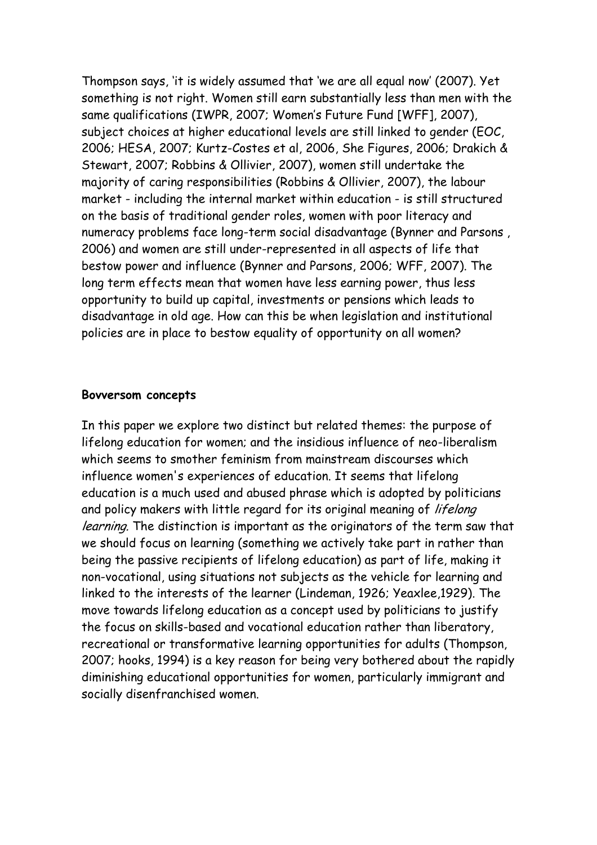Thompson says, 'it is widely assumed that 'we are all equal now' (2007). Yet something is not right. Women still earn substantially less than men with the same qualifications (IWPR, 2007; Women's Future Fund [WFF], 2007), subject choices at higher educational levels are still linked to gender (EOC, 2006; HESA, 2007; Kurtz-Costes et al, 2006, She Figures, 2006; Drakich & Stewart, 2007; Robbins & Ollivier, 2007), women still undertake the majority of caring responsibilities (Robbins & Ollivier, 2007), the labour market - including the internal market within education - is still structured on the basis of traditional gender roles, women with poor literacy and numeracy problems face long-term social disadvantage (Bynner and Parsons , 2006) and women are still under-represented in all aspects of life that bestow power and influence (Bynner and Parsons, 2006; WFF, 2007). The long term effects mean that women have less earning power, thus less opportunity to build up capital, investments or pensions which leads to disadvantage in old age. How can this be when legislation and institutional policies are in place to bestow equality of opportunity on all women?

#### Bovversom concepts

In this paper we explore two distinct but related themes: the purpose of lifelong education for women; and the insidious influence of neo-liberalism which seems to smother feminism from mainstream discourses which influence women's experiences of education. It seems that lifelong education is a much used and abused phrase which is adopted by politicians and policy makers with little regard for its original meaning of lifelong learning. The distinction is important as the originators of the term saw that we should focus on learning (something we actively take part in rather than being the passive recipients of lifelong education) as part of life, making it non-vocational, using situations not subjects as the vehicle for learning and linked to the interests of the learner (Lindeman, 1926; Yeaxlee,1929). The move towards lifelong education as a concept used by politicians to justify the focus on skills-based and vocational education rather than liberatory, recreational or transformative learning opportunities for adults (Thompson, 2007; hooks, 1994) is a key reason for being very bothered about the rapidly diminishing educational opportunities for women, particularly immigrant and socially disenfranchised women.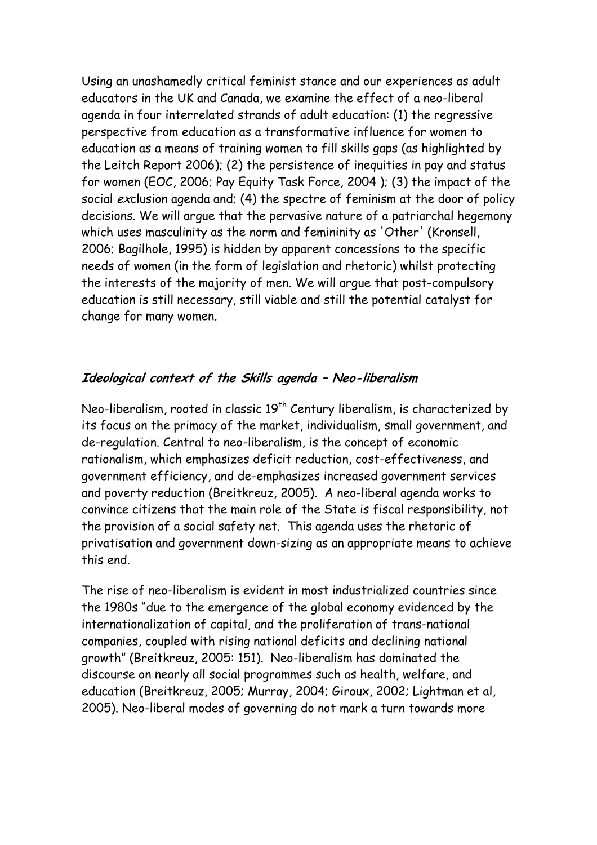Using an unashamedly critical feminist stance and our experiences as adult educators in the UK and Canada, we examine the effect of a neo-liberal agenda in four interrelated strands of adult education: (1) the regressive perspective from education as a transformative influence for women to education as a means of training women to fill skills gaps (as highlighted by the Leitch Report 2006); (2) the persistence of inequities in pay and status for women (EOC, 2006; Pay Equity Task Force, 2004 ); (3) the impact of the social exclusion agenda and; (4) the spectre of feminism at the door of policy decisions. We will argue that the pervasive nature of a patriarchal hegemony which uses masculinity as the norm and femininity as 'Other' (Kronsell, 2006; Bagilhole, 1995) is hidden by apparent concessions to the specific needs of women (in the form of legislation and rhetoric) whilst protecting the interests of the majority of men. We will argue that post-compulsory education is still necessary, still viable and still the potential catalyst for change for many women.

# Ideological context of the Skills agenda – Neo-liberalism

Neo-liberalism, rooted in classic 19<sup>th</sup> Century liberalism, is characterized by its focus on the primacy of the market, individualism, small government, and de-regulation. Central to neo-liberalism, is the concept of economic rationalism, which emphasizes deficit reduction, cost-effectiveness, and government efficiency, and de-emphasizes increased government services and poverty reduction (Breitkreuz, 2005). A neo-liberal agenda works to convince citizens that the main role of the State is fiscal responsibility, not the provision of a social safety net. This agenda uses the rhetoric of privatisation and government down-sizing as an appropriate means to achieve this end.

The rise of neo-liberalism is evident in most industrialized countries since the 1980s "due to the emergence of the global economy evidenced by the internationalization of capital, and the proliferation of trans-national companies, coupled with rising national deficits and declining national growth" (Breitkreuz, 2005: 151). Neo-liberalism has dominated the discourse on nearly all social programmes such as health, welfare, and education (Breitkreuz, 2005; Murray, 2004; Giroux, 2002; Lightman et al, 2005). Neo-liberal modes of governing do not mark a turn towards more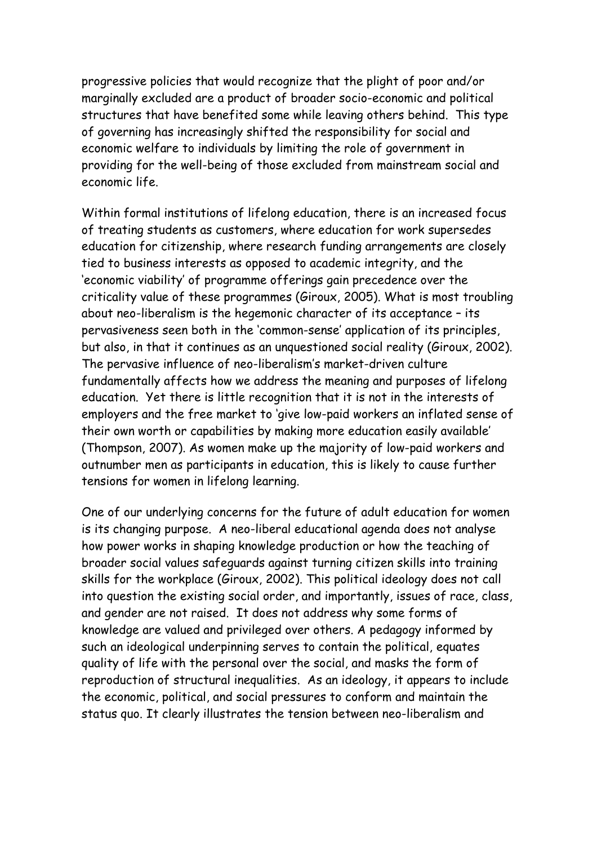progressive policies that would recognize that the plight of poor and/or marginally excluded are a product of broader socio-economic and political structures that have benefited some while leaving others behind. This type of governing has increasingly shifted the responsibility for social and economic welfare to individuals by limiting the role of government in providing for the well-being of those excluded from mainstream social and economic life.

Within formal institutions of lifelong education, there is an increased focus of treating students as customers, where education for work supersedes education for citizenship, where research funding arrangements are closely tied to business interests as opposed to academic integrity, and the 'economic viability' of programme offerings gain precedence over the criticality value of these programmes (Giroux, 2005). What is most troubling about neo-liberalism is the hegemonic character of its acceptance – its pervasiveness seen both in the 'common-sense' application of its principles, but also, in that it continues as an unquestioned social reality (Giroux, 2002). The pervasive influence of neo-liberalism's market-driven culture fundamentally affects how we address the meaning and purposes of lifelong education. Yet there is little recognition that it is not in the interests of employers and the free market to 'give low-paid workers an inflated sense of their own worth or capabilities by making more education easily available' (Thompson, 2007). As women make up the majority of low-paid workers and outnumber men as participants in education, this is likely to cause further tensions for women in lifelong learning.

One of our underlying concerns for the future of adult education for women is its changing purpose. A neo-liberal educational agenda does not analyse how power works in shaping knowledge production or how the teaching of broader social values safeguards against turning citizen skills into training skills for the workplace (Giroux, 2002). This political ideology does not call into question the existing social order, and importantly, issues of race, class, and gender are not raised. It does not address why some forms of knowledge are valued and privileged over others. A pedagogy informed by such an ideological underpinning serves to contain the political, equates quality of life with the personal over the social, and masks the form of reproduction of structural inequalities. As an ideology, it appears to include the economic, political, and social pressures to conform and maintain the status quo. It clearly illustrates the tension between neo-liberalism and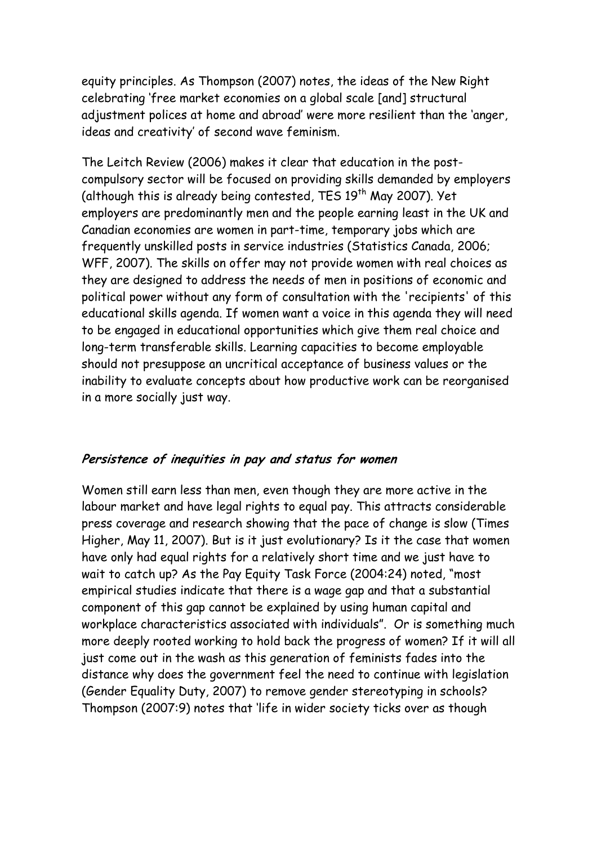equity principles. As Thompson (2007) notes, the ideas of the New Right celebrating 'free market economies on a global scale [and] structural adjustment polices at home and abroad' were more resilient than the 'anger, ideas and creativity' of second wave feminism.

The Leitch Review (2006) makes it clear that education in the postcompulsory sector will be focused on providing skills demanded by employers (although this is already being contested, TES  $19<sup>th</sup>$  May 2007). Yet employers are predominantly men and the people earning least in the UK and Canadian economies are women in part-time, temporary jobs which are frequently unskilled posts in service industries (Statistics Canada, 2006; WFF, 2007). The skills on offer may not provide women with real choices as they are designed to address the needs of men in positions of economic and political power without any form of consultation with the 'recipients' of this educational skills agenda. If women want a voice in this agenda they will need to be engaged in educational opportunities which give them real choice and long-term transferable skills. Learning capacities to become employable should not presuppose an uncritical acceptance of business values or the inability to evaluate concepts about how productive work can be reorganised in a more socially just way.

# Persistence of inequities in pay and status for women

Women still earn less than men, even though they are more active in the labour market and have legal rights to equal pay. This attracts considerable press coverage and research showing that the pace of change is slow (Times Higher, May 11, 2007). But is it just evolutionary? Is it the case that women have only had equal rights for a relatively short time and we just have to wait to catch up? As the Pay Equity Task Force (2004:24) noted, "most empirical studies indicate that there is a wage gap and that a substantial component of this gap cannot be explained by using human capital and workplace characteristics associated with individuals". Or is something much more deeply rooted working to hold back the progress of women? If it will all just come out in the wash as this generation of feminists fades into the distance why does the government feel the need to continue with legislation (Gender Equality Duty, 2007) to remove gender stereotyping in schools? Thompson (2007:9) notes that 'life in wider society ticks over as though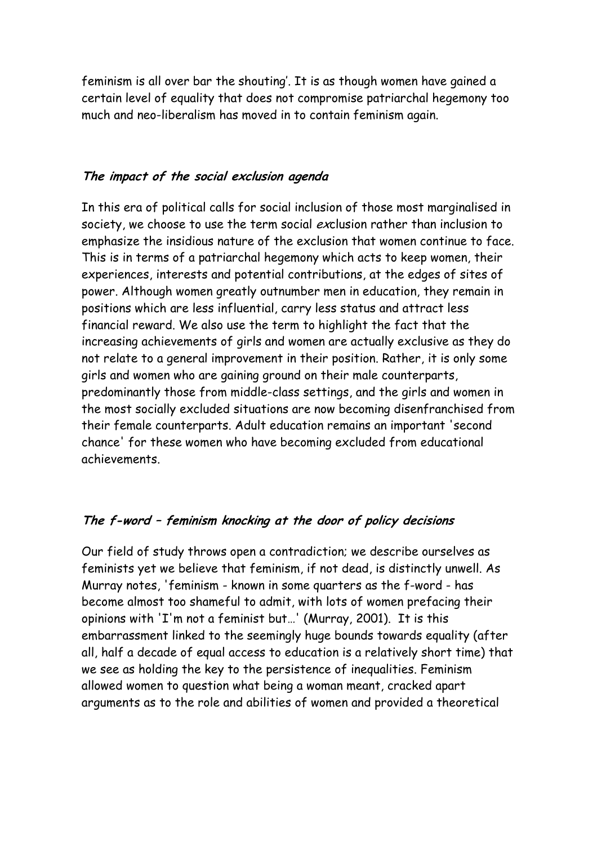feminism is all over bar the shouting'. It is as though women have gained a certain level of equality that does not compromise patriarchal hegemony too much and neo-liberalism has moved in to contain feminism again.

### The impact of the social exclusion agenda

In this era of political calls for social inclusion of those most marginalised in society, we choose to use the term social exclusion rather than inclusion to emphasize the insidious nature of the exclusion that women continue to face. This is in terms of a patriarchal hegemony which acts to keep women, their experiences, interests and potential contributions, at the edges of sites of power. Although women greatly outnumber men in education, they remain in positions which are less influential, carry less status and attract less financial reward. We also use the term to highlight the fact that the increasing achievements of girls and women are actually exclusive as they do not relate to a general improvement in their position. Rather, it is only some girls and women who are gaining ground on their male counterparts, predominantly those from middle-class settings, and the girls and women in the most socially excluded situations are now becoming disenfranchised from their female counterparts. Adult education remains an important 'second chance' for these women who have becoming excluded from educational achievements.

# The f-word – feminism knocking at the door of policy decisions

Our field of study throws open a contradiction; we describe ourselves as feminists yet we believe that feminism, if not dead, is distinctly unwell. As Murray notes, 'feminism - known in some quarters as the f-word - has become almost too shameful to admit, with lots of women prefacing their opinions with 'I'm not a feminist but…' (Murray, 2001). It is this embarrassment linked to the seemingly huge bounds towards equality (after all, half a decade of equal access to education is a relatively short time) that we see as holding the key to the persistence of inequalities. Feminism allowed women to question what being a woman meant, cracked apart arguments as to the role and abilities of women and provided a theoretical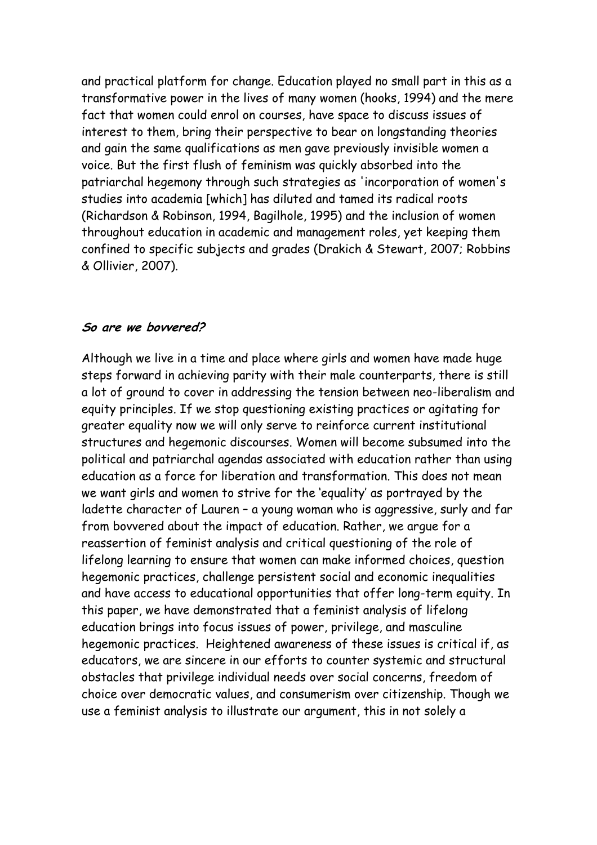and practical platform for change. Education played no small part in this as a transformative power in the lives of many women (hooks, 1994) and the mere fact that women could enrol on courses, have space to discuss issues of interest to them, bring their perspective to bear on longstanding theories and gain the same qualifications as men gave previously invisible women a voice. But the first flush of feminism was quickly absorbed into the patriarchal hegemony through such strategies as 'incorporation of women's studies into academia [which] has diluted and tamed its radical roots (Richardson & Robinson, 1994, Bagilhole, 1995) and the inclusion of women throughout education in academic and management roles, yet keeping them confined to specific subjects and grades (Drakich & Stewart, 2007; Robbins & Ollivier, 2007).

#### So are we bovvered?

Although we live in a time and place where girls and women have made huge steps forward in achieving parity with their male counterparts, there is still a lot of ground to cover in addressing the tension between neo-liberalism and equity principles. If we stop questioning existing practices or agitating for greater equality now we will only serve to reinforce current institutional structures and hegemonic discourses. Women will become subsumed into the political and patriarchal agendas associated with education rather than using education as a force for liberation and transformation. This does not mean we want girls and women to strive for the 'equality' as portrayed by the ladette character of Lauren – a young woman who is aggressive, surly and far from bovvered about the impact of education. Rather, we argue for a reassertion of feminist analysis and critical questioning of the role of lifelong learning to ensure that women can make informed choices, question hegemonic practices, challenge persistent social and economic inequalities and have access to educational opportunities that offer long-term equity. In this paper, we have demonstrated that a feminist analysis of lifelong education brings into focus issues of power, privilege, and masculine hegemonic practices. Heightened awareness of these issues is critical if, as educators, we are sincere in our efforts to counter systemic and structural obstacles that privilege individual needs over social concerns, freedom of choice over democratic values, and consumerism over citizenship. Though we use a feminist analysis to illustrate our argument, this in not solely a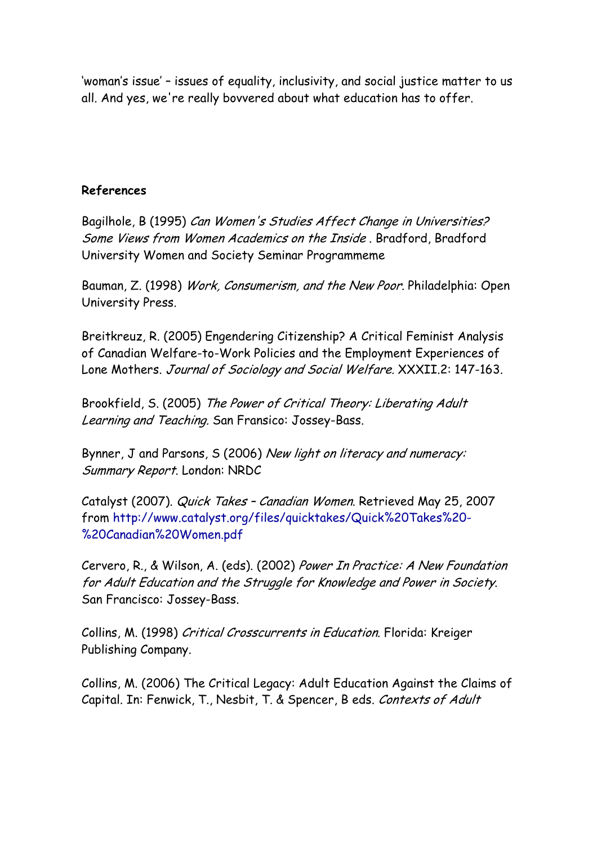'woman's issue' – issues of equality, inclusivity, and social justice matter to us all. And yes, we're really bovvered about what education has to offer.

#### References

Bagilhole, B (1995) Can Women's Studies Affect Change in Universities? Some Views from Women Academics on the Inside . Bradford, Bradford University Women and Society Seminar Programmeme

Bauman, Z. (1998) Work, Consumerism, and the New Poor. Philadelphia: Open University Press.

Breitkreuz, R. (2005) Engendering Citizenship? A Critical Feminist Analysis of Canadian Welfare-to-Work Policies and the Employment Experiences of Lone Mothers. Journal of Sociology and Social Welfare. XXXII.2: 147-163.

Brookfield, S. (2005) The Power of Critical Theory: Liberating Adult Learning and Teaching. San Fransico: Jossey-Bass.

Bynner, J and Parsons, S (2006) New light on literacy and numeracy: Summary Report. London: NRDC

Catalyst (2007). Quick Takes – Canadian Women. Retrieved May 25, 2007 from http://www.catalyst.org/files/quicktakes/Quick%20Takes%20- %20Canadian%20Women.pdf

Cervero, R., & Wilson, A. (eds). (2002) Power In Practice: A New Foundation for Adult Education and the Struggle for Knowledge and Power in Society. San Francisco: Jossey-Bass.

Collins, M. (1998) Critical Crosscurrents in Education. Florida: Kreiger Publishing Company.

Collins, M. (2006) The Critical Legacy: Adult Education Against the Claims of Capital. In: Fenwick, T., Nesbit, T. & Spencer, B eds. Contexts of Adult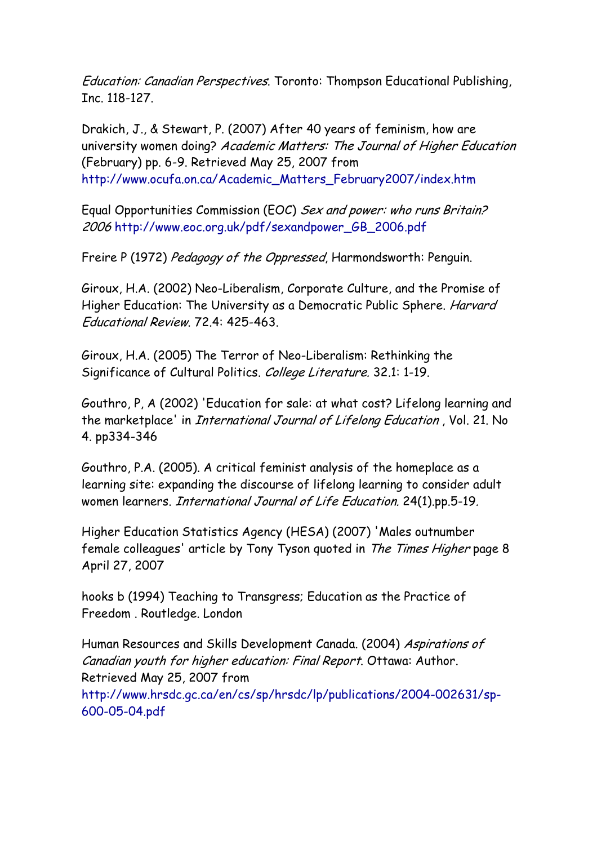Education: Canadian Perspectives. Toronto: Thompson Educational Publishing, Inc. 118-127.

Drakich, J., & Stewart, P. (2007) After 40 years of feminism, how are university women doing? Academic Matters: The Journal of Higher Education (February) pp. 6-9. Retrieved May 25, 2007 from http://www.ocufa.on.ca/Academic\_Matters\_February2007/index.htm

Equal Opportunities Commission (EOC) Sex and power: who runs Britain? 2006 http://www.eoc.org.uk/pdf/sexandpower\_GB\_2006.pdf

Freire P (1972) Pedagogy of the Oppressed, Harmondsworth: Penguin.

Giroux, H.A. (2002) Neo-Liberalism, Corporate Culture, and the Promise of Higher Education: The University as a Democratic Public Sphere. Harvard Educational Review. 72.4: 425-463.

Giroux, H.A. (2005) The Terror of Neo-Liberalism: Rethinking the Significance of Cultural Politics. College Literature. 32.1: 1-19.

Gouthro, P, A (2002) 'Education for sale: at what cost? Lifelong learning and the marketplace' in International Journal of Lifelong Education , Vol. 21. No 4. pp334-346

Gouthro, P.A. (2005). A critical feminist analysis of the homeplace as a learning site: expanding the discourse of lifelong learning to consider adult women learners. International Journal of Life Education. 24(1).pp.5-19.

Higher Education Statistics Agency (HESA) (2007) 'Males outnumber female colleagues' article by Tony Tyson quoted in The Times Higher page 8 April 27, 2007

hooks b (1994) Teaching to Transgress; Education as the Practice of Freedom . Routledge. London

Human Resources and Skills Development Canada. (2004) Aspirations of Canadian youth for higher education: Final Report. Ottawa: Author. Retrieved May 25, 2007 from http://www.hrsdc.gc.ca/en/cs/sp/hrsdc/lp/publications/2004-002631/sp-600-05-04.pdf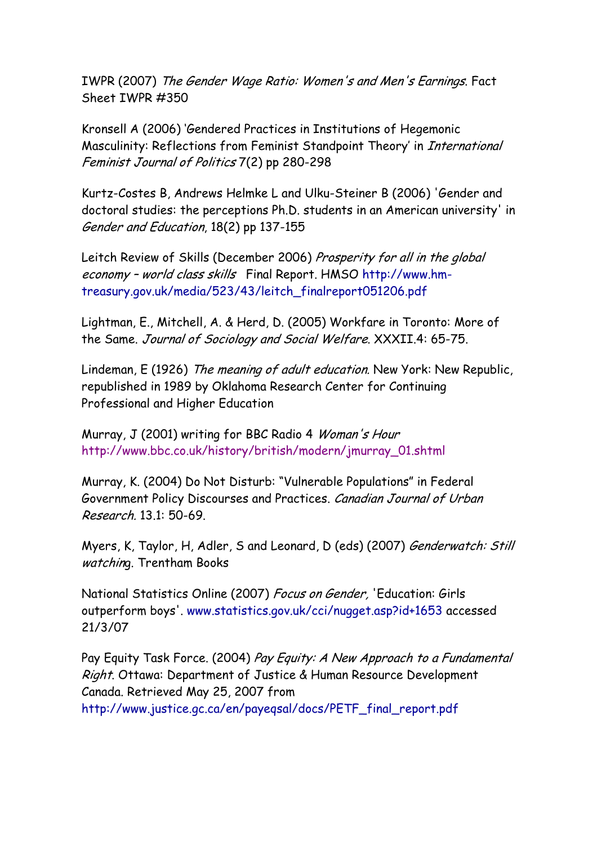IWPR (2007) The Gender Wage Ratio: Women's and Men's Earnings. Fact Sheet IWPR #350

Kronsell A (2006) 'Gendered Practices in Institutions of Hegemonic Masculinity: Reflections from Feminist Standpoint Theory' in International Feminist Journal of Politics 7(2) pp 280-298

Kurtz-Costes B, Andrews Helmke L and Ulku-Steiner B (2006) 'Gender and doctoral studies: the perceptions Ph.D. students in an American university' in Gender and Education, 18(2) pp 137-155

Leitch Review of Skills (December 2006) Prosperity for all in the global economy – world class skills Final Report. HMSO http://www.hmtreasury.gov.uk/media/523/43/leitch\_finalreport051206.pdf

Lightman, E., Mitchell, A. & Herd, D. (2005) Workfare in Toronto: More of the Same. Journal of Sociology and Social Welfare. XXXII.4: 65-75.

Lindeman, E (1926) The meaning of adult education. New York: New Republic, republished in 1989 by Oklahoma Research Center for Continuing Professional and Higher Education

Murray, J (2001) writing for BBC Radio 4 Woman's Hour http://www.bbc.co.uk/history/british/modern/jmurray\_01.shtml

Murray, K. (2004) Do Not Disturb: "Vulnerable Populations" in Federal Government Policy Discourses and Practices. Canadian Journal of Urban Research. 13.1: 50-69.

Myers, K, Taylor, H, Adler, S and Leonard, D (eds) (2007) Genderwatch: Still watching. Trentham Books

National Statistics Online (2007) Focus on Gender, 'Education: Girls outperform boys'. www.statistics.gov.uk/cci/nugget.asp?id+1653 accessed 21/3/07

Pay Equity Task Force. (2004) Pay Equity: A New Approach to a Fundamental Right. Ottawa: Department of Justice & Human Resource Development Canada. Retrieved May 25, 2007 from http://www.justice.gc.ca/en/payeqsal/docs/PETF\_final\_report.pdf